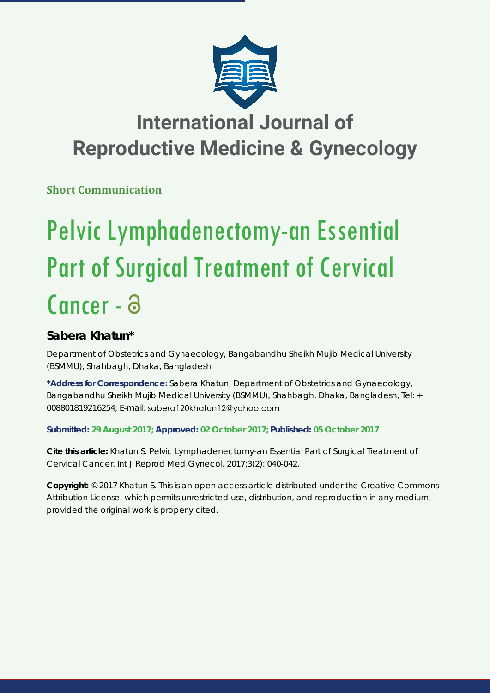

## **International Journal of Reproductive Medicine & Gynecology**

**Short Communication**

# Pelvic Lymphadenectomy-an Essential Part of Surgical Treatment of Cervical Cancer - a

### **Sabera Khatun\***

*Department of Obstetrics and Gynaecology, Bangabandhu Sheikh Mujib Medical University (BSMMU), Shahbagh, Dhaka, Bangladesh* 

**\*Address for Correspondence:** Sabera Khatun, Department of Obstetrics and Gynaecology, Bangabandhu Sheikh Mujib Medical University (BSMMU), Shahbagh, Dhaka, Bangladesh, Tel: + 008801819216254; E-mail: sabera120khatun12@yahoo.com

**Submitted: 29 August 2017; Approved: 02 October 2017; Published: 05 October 2017**

**Cite this article:** Khatun S. Pelvic Lymphadenectomy-an Essential Part of Surgical Treatment of Cervical Cancer. Int J Reprod Med Gynecol. 2017;3(2): 040-042.

**Copyright:** © 2017 Khatun S. This is an open access article distributed under the Creative Commons Attribution License, which permits unrestricted use, distribution, and reproduction in any medium, provided the original work is properly cited.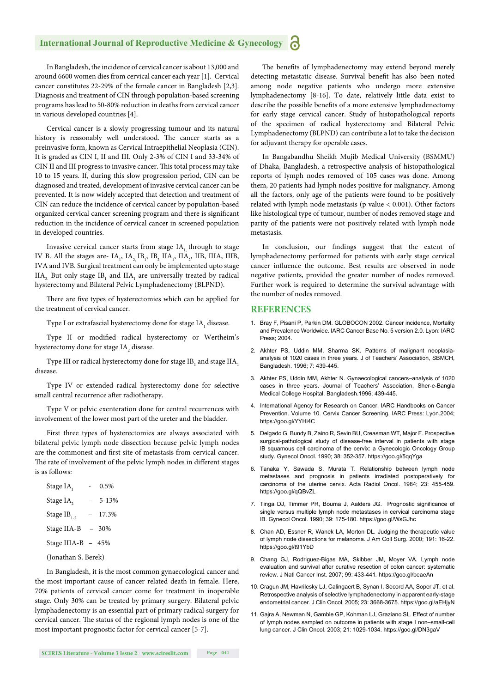#### **International Journal of Reproductive Medicine & Gynecology**

In Bangladesh, the incidence of cervical cancer is about 13,000 and around 6600 women dies from cervical cancer each year [1]. Cervical cancer constitutes 22-29% of the female cancer in Bangladesh [2,3]. Diagnosis and treatment of CIN through population-based screening programs has lead to 50-80% reduction in deaths from cervical cancer in various developed countries [4].

Cervical cancer is a slowly progressing tumour and its natural history is reasonably well understood. The cancer starts as a preinvasive form, known as Cervical Intraepithelial Neoplasia (CIN). It is graded as CIN I, II and III. Only 2-3% of CIN I and 33-34% of CIN II and III progress to invasive cancer. This total process may take 10 to 15 years. If, during this slow progression period, CIN can be diagnosed and treated, development of invasive cervical cancer can be prevented. It is now widely accepted that detection and treatment of CIN can reduce the incidence of cervical cancer by population-based organized cervical cancer screening program and there is significant reduction in the incidence of cervical cancer in screened population in developed countries.

Invasive cervical cancer starts from stage IA, through to stage IV B. All the stages are-  $IA_1$ ,  $IA_2$ ,  $IB_1$ ,  $IB_2$   $IIA_1$ ,  $IIA_2$ ,  $IIB$ ,  $IIIA$ ,  $IIIB$ , IVA and IVB. Surgical treatment can only be implemented upto stage  $IIA_2$  But only stage  $IB_1$  and  $IIA_1$  are universally treated by radical hysterectomy and Bilateral Pelvic Lymphadenectomy (BLPND).

There are five types of hysterectomies which can be applied for the treatment of cervical cancer.

Type I or extrafascial hysterectomy done for stage  $\mathrm{IA}_\mathrm{_1}$  disease.

Type II or modified radical hysterectomy or Wertheim's hysterectomy done for stage IA $_{\textrm{\tiny{2}}}$  disease.

Type III or radical hysterectomy done for stage  $\mathrm{IB}_\mathrm{i}$  and stage  $\mathrm{IIA}_\mathrm{i}$ disease.

Type IV or extended radical hysterectomy done for selective small central recurrence after radiotherapy.

Type V or pelvic exenteration done for central recurrences with involvement of the lower most part of the ureter and the bladder.

First three types of hysterectomies are always associated with bilateral pelvic lymph node dissection because pelvic lymph nodes are the commonest and first site of metastasis from cervical cancer. The rate of involvement of the pelvic lymph nodes in different stages is as follows:

| Stage IA <sub>r</sub> | 0.5%    |
|-----------------------|---------|
| Stage IA,             | 5-13%   |
| Stage $IB_{1-2}$      | 17.3%   |
| Stage IIA-B           | $-30\%$ |
| Stage IIIA-B - 45%    |         |
|                       |         |

(Jonathan S. Berek)

In Bangladesh, it is the most common gynaecological cancer and the most important cause of cancer related death in female. Here, 70% patients of cervical cancer come for treatment in inoperable stage. Only 30% can be treated by primary surgery. Bilateral pelvic lymphadenectomy is an essential part of primary radical surgery for cervical cancer. The status of the regional lymph nodes is one of the most important prognostic factor for cervical cancer [5-7].

The benefits of lymphadenectomy may extend beyond merely detecting metastatic disease. Survival benefit has also been noted among node negative patients who undergo more extensive lymphadenectomy [8-16]. To date, relatively little data exist to describe the possible benefits of a more extensive lymphadenectomy for early stage cervical cancer. Study of histopathological reports of the specimen of radical hysterectomy and Bilateral Pelvic Lymphadenectomy (BLPND) can contribute a lot to take the decision for adjuvant therapy for operable cases.

In Bangabandhu Sheikh Mujib Medical University (BSMMU) of Dhaka, Bangladesh, a retrospective analysis of histopathological reports of lymph nodes removed of 105 cases was done. Among them, 20 patients had lymph nodes positive for malignancy. Among all the factors, only age of the patients were found to be positively related with lymph node metastasis (p value < 0.001). Other factors like histological type of tumour, number of nodes removed stage and parity of the patients were not positively related with lymph node metastasis.

In conclusion, our findings suggest that the extent of lymphadenectomy performed for patients with early stage cervical cancer influence the outcome. Best results are observed in node negative patients, provided the greater number of nodes removed. Further work is required to determine the survival advantage with the number of nodes removed.

#### **REFERENCES**

- 1. Bray F, Pisani P, Parkin DM. GLOBOCON 2002. Cancer incidence, Mortality and Prevalence Worldwide. IARC Cancer Base No. 5 version 2.0. Lyon: IARC Press; 2004.
- 2. Akhter PS, Uddin MM, Sharma SK. Patterns of malignant neoplasiaanalysis of 1020 cases in three years. J of Teachers' Association, SBMCH, Bangladesh. 1996; 7: 439-445.
- 3. Akhter PS, Uddin MM, Akhter N. Gynaecological cancers–analysis of 1020 cases in three years. Journal of Teachers' Association, Sher-e-Bangla Medical College Hospital. Bangladesh.1996; 439-445.
- 4. International Agency for Research on Cancer. IARC Handbooks on Cancer Prevention. Volume 10. Cervix Cancer Screening. IARC Press: Lyon.2004; https://goo.gl/YYHi4C
- 5. Delgado G, Bundy B, Zaino R, Sevin BU, Creasman WT, Major F. Prospective surgical-pathological study of disease-free interval in patients with stage IB squamous cell carcinoma of the cervix: a Gynecologic Oncology Group study. Gynecol Oncol. 1990; 38: 352-357. https://goo.gl/5qqYga
- 6. Tanaka Y, Sawada S, Murata T. Relationship between lymph node metastases and prognosis in patients irradiated postoperatively for carcinoma of the uterine cervix. Acta Radiol Oncol. 1984; 23: 455-459. https://goo.gl/qQBvZL
- 7. Tinga DJ, Timmer PR, Bouma J, Aalders JG. Prognostic significance of single versus multiple lymph node metastases in cervical carcinoma stage IB. Gynecol Oncol. 1990; 39: 175-180. https://goo.gl/WsGJhc
- 8. Chan AD, Essner R, Wanek LA, Morton DL. Judging the therapeutic value of lymph node dissections for melanoma. J Am Coll Surg. 2000; 191: 16-22. https://goo.gl/t91YbD
- 9. Chang GJ, Rodriguez-Bigas MA, Skibber JM, Moyer VA. Lymph node evaluation and survival after curative resection of colon cancer: systematic review. J Natl Cancer Inst. 2007; 99: 433-441*.* https://goo.gl/beaeAn
- 10. Cragun JM, Havrilesky LJ, Calingaert B, Synan I, Secord AA, Soper JT, et al. Retrospective analysis of selective lymphadenectomy in apparent early-stage endometrial cancer. J Clin Oncol. 2005; 23: 3668-3675. https://goo.gl/aEHjyN
- 11. Gajra A, Newman N, Gamble GP, Kohman LJ, Graziano SL. Effect of number of lymph nodes sampled on outcome in patients with stage I non–small-cell lung cancer. J Clin Oncol. 2003; 21: 1029-1034. https://goo.gl/DN3gaV